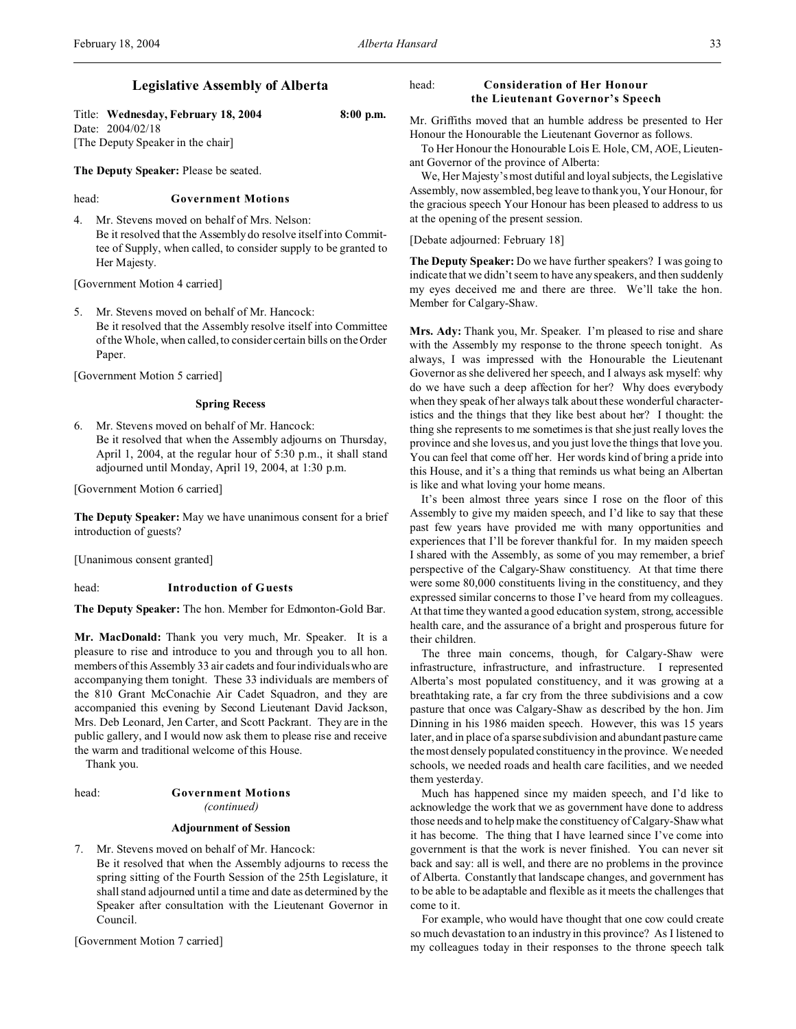## **Legislative Assembly of Alberta**

Title: **Wednesday, February 18, 2004 8:00 p.m.** Date: 2004/02/18 [The Deputy Speaker in the chair]

**The Deputy Speaker:** Please be seated.

## head: **Government Motions**

4. Mr. Stevens moved on behalf of Mrs. Nelson: Be it resolved that the Assembly do resolve itself into Committee of Supply, when called, to consider supply to be granted to Her Majesty.

[Government Motion 4 carried]

5. Mr. Stevens moved on behalf of Mr. Hancock: Be it resolved that the Assembly resolve itself into Committee of the Whole, when called, to consider certain bills on the Order Paper.

[Government Motion 5 carried]

### **Spring Recess**

6. Mr. Stevens moved on behalf of Mr. Hancock: Be it resolved that when the Assembly adjourns on Thursday, April 1, 2004, at the regular hour of 5:30 p.m., it shall stand adjourned until Monday, April 19, 2004, at 1:30 p.m.

[Government Motion 6 carried]

**The Deputy Speaker:** May we have unanimous consent for a brief introduction of guests?

[Unanimous consent granted]

## head: **Introduction of Guests**

**The Deputy Speaker:** The hon. Member for Edmonton-Gold Bar.

**Mr. MacDonald:** Thank you very much, Mr. Speaker. It is a pleasure to rise and introduce to you and through you to all hon. members of this Assembly 33 air cadets and four individuals who are accompanying them tonight. These 33 individuals are members of the 810 Grant McConachie Air Cadet Squadron, and they are accompanied this evening by Second Lieutenant David Jackson, Mrs. Deb Leonard, Jen Carter, and Scott Packrant. They are in the public gallery, and I would now ask them to please rise and receive the warm and traditional welcome of this House.

Thank you.

## head: **Government Motions** *(continued)*

### **Adjournment of Session**

7. Mr. Stevens moved on behalf of Mr. Hancock: Be it resolved that when the Assembly adjourns to recess the spring sitting of the Fourth Session of the 25th Legislature, it shall stand adjourned until a time and date as determined by the Speaker after consultation with the Lieutenant Governor in Council.

[Government Motion 7 carried]

## head: **Consideration of Her Honour the Lieutenant Governor's Speech**

Mr. Griffiths moved that an humble address be presented to Her Honour the Honourable the Lieutenant Governor as follows.

To Her Honour the Honourable Lois E. Hole, CM, AOE, Lieutenant Governor of the province of Alberta:

We, Her Majesty's most dutiful and loyal subjects, the Legislative Assembly, now assembled, beg leave to thank you, Your Honour, for the gracious speech Your Honour has been pleased to address to us at the opening of the present session.

## [Debate adjourned: February 18]

**The Deputy Speaker:** Do we have further speakers? I was going to indicate that we didn't seem to have any speakers, and then suddenly my eyes deceived me and there are three. We'll take the hon. Member for Calgary-Shaw.

**Mrs. Ady:** Thank you, Mr. Speaker. I'm pleased to rise and share with the Assembly my response to the throne speech tonight. As always, I was impressed with the Honourable the Lieutenant Governor as she delivered her speech, and I always ask myself: why do we have such a deep affection for her? Why does everybody when they speak of her always talk about these wonderful characteristics and the things that they like best about her? I thought: the thing she represents to me sometimes is that she just really loves the province and she loves us, and you just love the things that love you. You can feel that come off her. Her words kind of bring a pride into this House, and it's a thing that reminds us what being an Albertan is like and what loving your home means.

It's been almost three years since I rose on the floor of this Assembly to give my maiden speech, and I'd like to say that these past few years have provided me with many opportunities and experiences that I'll be forever thankful for. In my maiden speech I shared with the Assembly, as some of you may remember, a brief perspective of the Calgary-Shaw constituency. At that time there were some 80,000 constituents living in the constituency, and they expressed similar concerns to those I've heard from my colleagues. At that time they wanted a good education system, strong, accessible health care, and the assurance of a bright and prosperous future for their children.

The three main concerns, though, for Calgary-Shaw were infrastructure, infrastructure, and infrastructure. I represented Alberta's most populated constituency, and it was growing at a breathtaking rate, a far cry from the three subdivisions and a cow pasture that once was Calgary-Shaw as described by the hon. Jim Dinning in his 1986 maiden speech. However, this was 15 years later, and in place of a sparse subdivision and abundant pasture came the most densely populated constituency in the province. We needed schools, we needed roads and health care facilities, and we needed them yesterday.

Much has happened since my maiden speech, and I'd like to acknowledge the work that we as government have done to address those needs and to help make the constituency of Calgary-Shaw what it has become. The thing that I have learned since I've come into government is that the work is never finished. You can never sit back and say: all is well, and there are no problems in the province of Alberta. Constantly that landscape changes, and government has to be able to be adaptable and flexible as it meets the challenges that come to it.

For example, who would have thought that one cow could create so much devastation to an industry in this province? As I listened to my colleagues today in their responses to the throne speech talk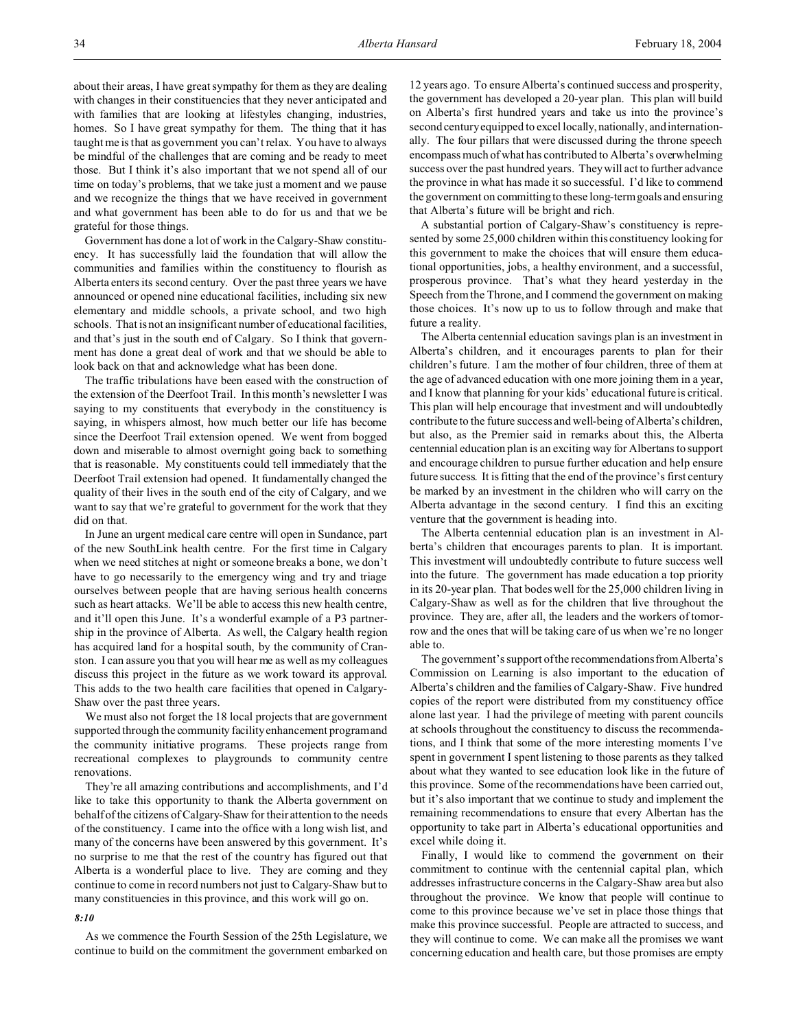about their areas, I have great sympathy for them as they are dealing with changes in their constituencies that they never anticipated and with families that are looking at lifestyles changing, industries, homes. So I have great sympathy for them. The thing that it has taught me is that as government you can't relax. You have to always be mindful of the challenges that are coming and be ready to meet those. But I think it's also important that we not spend all of our time on today's problems, that we take just a moment and we pause and we recognize the things that we have received in government and what government has been able to do for us and that we be grateful for those things.

Government has done a lot of work in the Calgary-Shaw constituency. It has successfully laid the foundation that will allow the communities and families within the constituency to flourish as Alberta enters its second century. Over the past three years we have announced or opened nine educational facilities, including six new elementary and middle schools, a private school, and two high schools. That is not an insignificant number of educational facilities, and that's just in the south end of Calgary. So I think that government has done a great deal of work and that we should be able to look back on that and acknowledge what has been done.

The traffic tribulations have been eased with the construction of the extension of the Deerfoot Trail. In this month's newsletter I was saying to my constituents that everybody in the constituency is saying, in whispers almost, how much better our life has become since the Deerfoot Trail extension opened. We went from bogged down and miserable to almost overnight going back to something that is reasonable. My constituents could tell immediately that the Deerfoot Trail extension had opened. It fundamentally changed the quality of their lives in the south end of the city of Calgary, and we want to say that we're grateful to government for the work that they did on that.

In June an urgent medical care centre will open in Sundance, part of the new SouthLink health centre. For the first time in Calgary when we need stitches at night or someone breaks a bone, we don't have to go necessarily to the emergency wing and try and triage ourselves between people that are having serious health concerns such as heart attacks. We'll be able to access this new health centre, and it'll open this June. It's a wonderful example of a P3 partnership in the province of Alberta. As well, the Calgary health region has acquired land for a hospital south, by the community of Cranston. I can assure you that you will hear me as well as my colleagues discuss this project in the future as we work toward its approval. This adds to the two health care facilities that opened in Calgary-Shaw over the past three years.

We must also not forget the 18 local projects that are government supported through the community facility enhancement program and the community initiative programs. These projects range from recreational complexes to playgrounds to community centre renovations.

They're all amazing contributions and accomplishments, and I'd like to take this opportunity to thank the Alberta government on behalf of the citizens of Calgary-Shaw for their attention to the needs of the constituency. I came into the office with a long wish list, and many of the concerns have been answered by this government. It's no surprise to me that the rest of the country has figured out that Alberta is a wonderful place to live. They are coming and they continue to come in record numbers not just to Calgary-Shaw but to many constituencies in this province, and this work will go on.

## *8:10*

As we commence the Fourth Session of the 25th Legislature, we continue to build on the commitment the government embarked on

12 years ago. To ensure Alberta's continued success and prosperity, the government has developed a 20-year plan. This plan will build on Alberta's first hundred years and take us into the province's second century equipped to excel locally, nationally, and internationally. The four pillars that were discussed during the throne speech encompass much of what has contributed to Alberta's overwhelming success over the past hundred years. They will act to further advance the province in what has made it so successful. I'd like to commend the government on committing to these long-term goals and ensuring that Alberta's future will be bright and rich.

A substantial portion of Calgary-Shaw's constituency is represented by some 25,000 children within this constituency looking for this government to make the choices that will ensure them educational opportunities, jobs, a healthy environment, and a successful, prosperous province. That's what they heard yesterday in the Speech from the Throne, and I commend the government on making those choices. It's now up to us to follow through and make that future a reality.

The Alberta centennial education savings plan is an investment in Alberta's children, and it encourages parents to plan for their children's future. I am the mother of four children, three of them at the age of advanced education with one more joining them in a year, and I know that planning for your kids' educational future is critical. This plan will help encourage that investment and will undoubtedly contribute to the future success and well-being of Alberta's children, but also, as the Premier said in remarks about this, the Alberta centennial education plan is an exciting way for Albertans to support and encourage children to pursue further education and help ensure future success. It is fitting that the end of the province's first century be marked by an investment in the children who will carry on the Alberta advantage in the second century. I find this an exciting venture that the government is heading into.

The Alberta centennial education plan is an investment in Alberta's children that encourages parents to plan. It is important. This investment will undoubtedly contribute to future success well into the future. The government has made education a top priority in its 20-year plan. That bodes well for the 25,000 children living in Calgary-Shaw as well as for the children that live throughout the province. They are, after all, the leaders and the workers of tomorrow and the ones that will be taking care of us when we're no longer able to.

The government's support of the recommendations from Alberta's Commission on Learning is also important to the education of Alberta's children and the families of Calgary-Shaw. Five hundred copies of the report were distributed from my constituency office alone last year. I had the privilege of meeting with parent councils at schools throughout the constituency to discuss the recommendations, and I think that some of the more interesting moments I've spent in government I spent listening to those parents as they talked about what they wanted to see education look like in the future of this province. Some of the recommendations have been carried out, but it's also important that we continue to study and implement the remaining recommendations to ensure that every Albertan has the opportunity to take part in Alberta's educational opportunities and excel while doing it.

Finally, I would like to commend the government on their commitment to continue with the centennial capital plan, which addresses infrastructure concerns in the Calgary-Shaw area but also throughout the province. We know that people will continue to come to this province because we've set in place those things that make this province successful. People are attracted to success, and they will continue to come. We can make all the promises we want concerning education and health care, but those promises are empty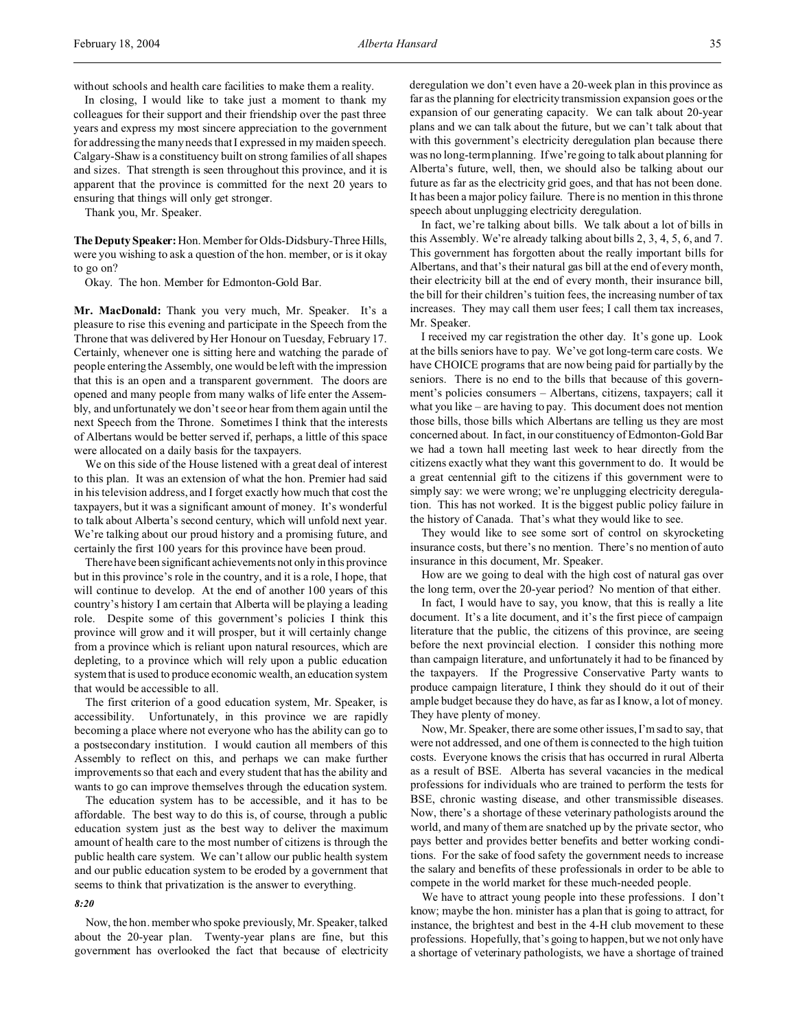without schools and health care facilities to make them a reality.

In closing, I would like to take just a moment to thank my colleagues for their support and their friendship over the past three years and express my most sincere appreciation to the government for addressing the many needs that I expressed in my maiden speech. Calgary-Shaw is a constituency built on strong families of all shapes and sizes. That strength is seen throughout this province, and it is apparent that the province is committed for the next 20 years to ensuring that things will only get stronger.

Thank you, Mr. Speaker.

**TheDeputy Speaker:** Hon. Member for Olds-Didsbury-Three Hills, were you wishing to ask a question of the hon. member, or is it okay to go on?

Okay. The hon. Member for Edmonton-Gold Bar.

**Mr. MacDonald:** Thank you very much, Mr. Speaker. It's a pleasure to rise this evening and participate in the Speech from the Throne that was delivered by Her Honour on Tuesday, February 17. Certainly, whenever one is sitting here and watching the parade of people entering the Assembly, one would be left with the impression that this is an open and a transparent government. The doors are opened and many people from many walks of life enter the Assembly, and unfortunately we don't see or hear from them again until the next Speech from the Throne. Sometimes I think that the interests of Albertans would be better served if, perhaps, a little of this space were allocated on a daily basis for the taxpayers.

We on this side of the House listened with a great deal of interest to this plan. It was an extension of what the hon. Premier had said in his television address, and I forget exactly how much that cost the taxpayers, but it was a significant amount of money. It's wonderful to talk about Alberta's second century, which will unfold next year. We're talking about our proud history and a promising future, and certainly the first 100 years for this province have been proud.

There have been significant achievements not only in this province but in this province's role in the country, and it is a role, I hope, that will continue to develop. At the end of another 100 years of this country's history I am certain that Alberta will be playing a leading role. Despite some of this government's policies I think this province will grow and it will prosper, but it will certainly change from a province which is reliant upon natural resources, which are depleting, to a province which will rely upon a public education system that is used to produce economic wealth, an education system that would be accessible to all.

The first criterion of a good education system, Mr. Speaker, is accessibility. Unfortunately, in this province we are rapidly becoming a place where not everyone who has the ability can go to a postsecondary institution. I would caution all members of this Assembly to reflect on this, and perhaps we can make further improvements so that each and every student that has the ability and wants to go can improve themselves through the education system.

The education system has to be accessible, and it has to be affordable. The best way to do this is, of course, through a public education system just as the best way to deliver the maximum amount of health care to the most number of citizens is through the public health care system. We can't allow our public health system and our public education system to be eroded by a government that seems to think that privatization is the answer to everything.

#### *8:20*

Now, the hon. member who spoke previously, Mr. Speaker, talked about the 20-year plan. Twenty-year plans are fine, but this government has overlooked the fact that because of electricity deregulation we don't even have a 20-week plan in this province as far as the planning for electricity transmission expansion goes or the expansion of our generating capacity. We can talk about 20-year plans and we can talk about the future, but we can't talk about that with this government's electricity deregulation plan because there was no long-term planning. If we're going to talk about planning for Alberta's future, well, then, we should also be talking about our future as far as the electricity grid goes, and that has not been done. It has been a major policy failure. There is no mention in this throne speech about unplugging electricity deregulation.

In fact, we're talking about bills. We talk about a lot of bills in this Assembly. We're already talking about bills 2, 3, 4, 5, 6, and 7. This government has forgotten about the really important bills for Albertans, and that's their natural gas bill at the end of every month, their electricity bill at the end of every month, their insurance bill, the bill for their children's tuition fees, the increasing number of tax increases. They may call them user fees; I call them tax increases, Mr. Speaker.

I received my car registration the other day. It's gone up. Look at the bills seniors have to pay. We've got long-term care costs. We have CHOICE programs that are now being paid for partially by the seniors. There is no end to the bills that because of this government's policies consumers – Albertans, citizens, taxpayers; call it what you like – are having to pay. This document does not mention those bills, those bills which Albertans are telling us they are most concerned about. In fact, in our constituency of Edmonton-Gold Bar we had a town hall meeting last week to hear directly from the citizens exactly what they want this government to do. It would be a great centennial gift to the citizens if this government were to simply say: we were wrong; we're unplugging electricity deregulation. This has not worked. It is the biggest public policy failure in the history of Canada. That's what they would like to see.

They would like to see some sort of control on skyrocketing insurance costs, but there's no mention. There's no mention of auto insurance in this document, Mr. Speaker.

How are we going to deal with the high cost of natural gas over the long term, over the 20-year period? No mention of that either.

In fact, I would have to say, you know, that this is really a lite document. It's a lite document, and it's the first piece of campaign literature that the public, the citizens of this province, are seeing before the next provincial election. I consider this nothing more than campaign literature, and unfortunately it had to be financed by the taxpayers. If the Progressive Conservative Party wants to produce campaign literature, I think they should do it out of their ample budget because they do have, as far as I know, a lot of money. They have plenty of money.

Now, Mr. Speaker, there are some other issues, I'm sad to say, that were not addressed, and one of them is connected to the high tuition costs. Everyone knows the crisis that has occurred in rural Alberta as a result of BSE. Alberta has several vacancies in the medical professions for individuals who are trained to perform the tests for BSE, chronic wasting disease, and other transmissible diseases. Now, there's a shortage of these veterinary pathologists around the world, and many of them are snatched up by the private sector, who pays better and provides better benefits and better working conditions. For the sake of food safety the government needs to increase the salary and benefits of these professionals in order to be able to compete in the world market for these much-needed people.

We have to attract young people into these professions. I don't know; maybe the hon. minister has a plan that is going to attract, for instance, the brightest and best in the 4-H club movement to these professions. Hopefully, that's going to happen, but we not only have a shortage of veterinary pathologists, we have a shortage of trained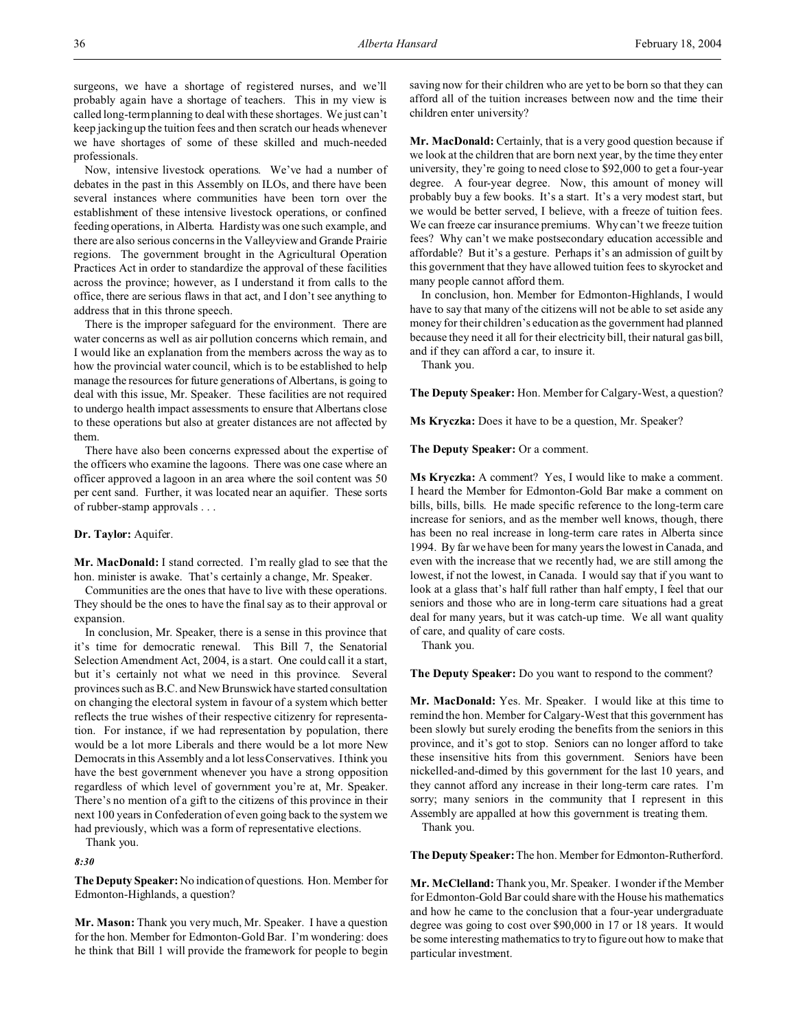surgeons, we have a shortage of registered nurses, and we'll probably again have a shortage of teachers. This in my view is called long-term planning to deal with these shortages. We just can't keep jacking up the tuition fees and then scratch our heads whenever we have shortages of some of these skilled and much-needed professionals.

Now, intensive livestock operations. We've had a number of debates in the past in this Assembly on ILOs, and there have been several instances where communities have been torn over the establishment of these intensive livestock operations, or confined feeding operations, in Alberta. Hardisty was one such example, and there are also serious concerns in the Valleyview and Grande Prairie regions. The government brought in the Agricultural Operation Practices Act in order to standardize the approval of these facilities across the province; however, as I understand it from calls to the office, there are serious flaws in that act, and I don't see anything to address that in this throne speech.

There is the improper safeguard for the environment. There are water concerns as well as air pollution concerns which remain, and I would like an explanation from the members across the way as to how the provincial water council, which is to be established to help manage the resources for future generations of Albertans, is going to deal with this issue, Mr. Speaker. These facilities are not required to undergo health impact assessments to ensure that Albertans close to these operations but also at greater distances are not affected by them.

There have also been concerns expressed about the expertise of the officers who examine the lagoons. There was one case where an officer approved a lagoon in an area where the soil content was 50 per cent sand. Further, it was located near an aquifier. These sorts of rubber-stamp approvals . . .

### **Dr. Taylor:** Aquifer.

**Mr. MacDonald:** I stand corrected. I'm really glad to see that the hon. minister is awake. That's certainly a change, Mr. Speaker.

Communities are the ones that have to live with these operations. They should be the ones to have the final say as to their approval or expansion.

In conclusion, Mr. Speaker, there is a sense in this province that it's time for democratic renewal. This Bill 7, the Senatorial Selection Amendment Act, 2004, is a start. One could call it a start, but it's certainly not what we need in this province. Several provinces such as B.C. and New Brunswickhave started consultation on changing the electoral system in favour of a system which better reflects the true wishes of their respective citizenry for representation. For instance, if we had representation by population, there would be a lot more Liberals and there would be a lot more New Democrats in this Assembly and a lot less Conservatives. I think you have the best government whenever you have a strong opposition regardless of which level of government you're at, Mr. Speaker. There's no mention of a gift to the citizens of this province in their next 100 years in Confederation of even going back to the system we had previously, which was a form of representative elections.

Thank you.

*8:30*

**The Deputy Speaker:**No indication of questions. Hon. Member for Edmonton-Highlands, a question?

**Mr. Mason:** Thank you very much, Mr. Speaker. I have a question for the hon. Member for Edmonton-Gold Bar. I'm wondering: does he think that Bill 1 will provide the framework for people to begin afford all of the tuition increases between now and the time their children enter university?

**Mr. MacDonald:** Certainly, that is a very good question because if we look at the children that are born next year, by the time they enter university, they're going to need close to \$92,000 to get a four-year degree. A four-year degree. Now, this amount of money will probably buy a few books. It's a start. It's a very modest start, but we would be better served, I believe, with a freeze of tuition fees. We can freeze car insurance premiums. Why can't we freeze tuition fees? Why can't we make postsecondary education accessible and affordable? But it's a gesture. Perhaps it's an admission of guilt by this government that they have allowed tuition fees to skyrocket and many people cannot afford them.

In conclusion, hon. Member for Edmonton-Highlands, I would have to say that many of the citizens will not be able to set aside any money for their children's education as the government had planned because they need it all for their electricity bill, their natural gas bill, and if they can afford a car, to insure it.

Thank you.

**The Deputy Speaker:** Hon. Member for Calgary-West, a question?

**Ms Kryczka:** Does it have to be a question, Mr. Speaker?

**The Deputy Speaker:** Or a comment.

**Ms Kryczka:** A comment? Yes, I would like to make a comment. I heard the Member for Edmonton-Gold Bar make a comment on bills, bills, bills. He made specific reference to the long-term care increase for seniors, and as the member well knows, though, there has been no real increase in long-term care rates in Alberta since 1994. By far we have been for many years the lowest in Canada, and even with the increase that we recently had, we are still among the lowest, if not the lowest, in Canada. I would say that if you want to look at a glass that's half full rather than half empty, I feel that our seniors and those who are in long-term care situations had a great deal for many years, but it was catch-up time. We all want quality of care, and quality of care costs.

Thank you.

**The Deputy Speaker:** Do you want to respond to the comment?

**Mr. MacDonald:** Yes. Mr. Speaker. I would like at this time to remind the hon. Member for Calgary-West that this government has been slowly but surely eroding the benefits from the seniors in this province, and it's got to stop. Seniors can no longer afford to take these insensitive hits from this government. Seniors have been nickelled-and-dimed by this government for the last 10 years, and they cannot afford any increase in their long-term care rates. I'm sorry; many seniors in the community that I represent in this Assembly are appalled at how this government is treating them.

Thank you.

**The Deputy Speaker:**The hon. Member for Edmonton-Rutherford.

**Mr. McClelland:** Thank you, Mr. Speaker. I wonder if the Member for Edmonton-Gold Bar could share with the House his mathematics and how he came to the conclusion that a four-year undergraduate degree was going to cost over \$90,000 in 17 or 18 years. It would be some interesting mathematics to try to figure out how to make that particular investment.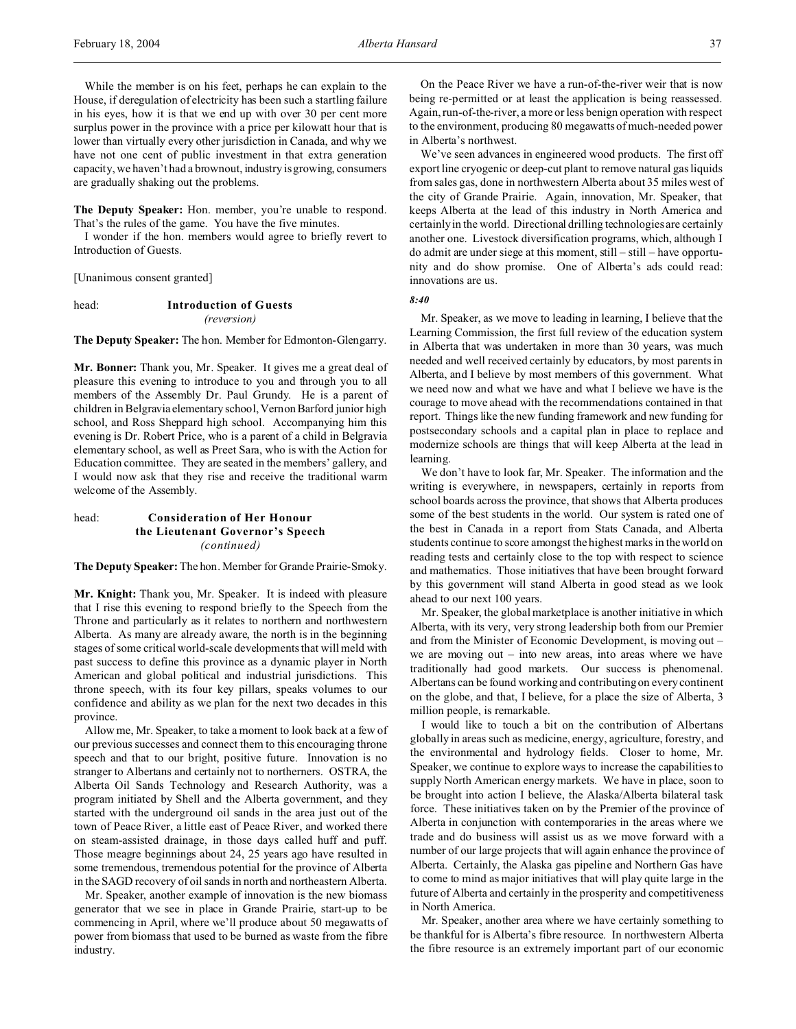While the member is on his feet, perhaps he can explain to the House, if deregulation of electricity has been such a startling failure in his eyes, how it is that we end up with over 30 per cent more surplus power in the province with a price per kilowatt hour that is lower than virtually every other jurisdiction in Canada, and why we have not one cent of public investment in that extra generation capacity, we haven't had a brownout, industry is growing, consumers are gradually shaking out the problems.

**The Deputy Speaker:** Hon. member, you're unable to respond. That's the rules of the game. You have the five minutes.

I wonder if the hon. members would agree to briefly revert to Introduction of Guests.

[Unanimous consent granted]

## head: **Introduction of Guests** *(reversion)*

**The Deputy Speaker:** The hon. Member for Edmonton-Glengarry.

**Mr. Bonner:** Thank you, Mr. Speaker. It gives me a great deal of pleasure this evening to introduce to you and through you to all members of the Assembly Dr. Paul Grundy. He is a parent of children in Belgravia elementary school, Vernon Barford junior high school, and Ross Sheppard high school. Accompanying him this evening is Dr. Robert Price, who is a parent of a child in Belgravia elementary school, as well as Preet Sara, who is with the Action for Education committee. They are seated in the members' gallery, and I would now ask that they rise and receive the traditional warm welcome of the Assembly.

## head: **Consideration of Her Honour the Lieutenant Governor's Speech** *(continued)*

**The Deputy Speaker:**The hon. Member for Grande Prairie-Smoky.

**Mr. Knight:** Thank you, Mr. Speaker. It is indeed with pleasure that I rise this evening to respond briefly to the Speech from the Throne and particularly as it relates to northern and northwestern Alberta. As many are already aware, the north is in the beginning stages of some critical world-scale developments that will meld with past success to define this province as a dynamic player in North American and global political and industrial jurisdictions. This throne speech, with its four key pillars, speaks volumes to our confidence and ability as we plan for the next two decades in this province.

Allow me, Mr. Speaker, to take a moment to look back at a few of our previous successes and connect them to this encouraging throne speech and that to our bright, positive future. Innovation is no stranger to Albertans and certainly not to northerners. OSTRA, the Alberta Oil Sands Technology and Research Authority, was a program initiated by Shell and the Alberta government, and they started with the underground oil sands in the area just out of the town of Peace River, a little east of Peace River, and worked there on steam-assisted drainage, in those days called huff and puff. Those meagre beginnings about 24, 25 years ago have resulted in some tremendous, tremendous potential for the province of Alberta in the SAGD recovery of oil sands in north and northeastern Alberta.

Mr. Speaker, another example of innovation is the new biomass generator that we see in place in Grande Prairie, start-up to be commencing in April, where we'll produce about 50 megawatts of power from biomass that used to be burned as waste from the fibre industry.

On the Peace River we have a run-of-the-river weir that is now being re-permitted or at least the application is being reassessed. Again, run-of-the-river, a more or less benign operation with respect to the environment, producing 80 megawatts of much-needed power in Alberta's northwest.

We've seen advances in engineered wood products. The first off export line cryogenic or deep-cut plant to remove natural gas liquids from sales gas, done in northwestern Alberta about 35 miles west of the city of Grande Prairie. Again, innovation, Mr. Speaker, that keeps Alberta at the lead of this industry in North America and certainly in the world. Directional drilling technologies are certainly another one. Livestock diversification programs, which, although I do admit are under siege at this moment, still – still – have opportunity and do show promise. One of Alberta's ads could read: innovations are us.

*8:40*

Mr. Speaker, as we move to leading in learning, I believe that the Learning Commission, the first full review of the education system in Alberta that was undertaken in more than 30 years, was much needed and well received certainly by educators, by most parents in Alberta, and I believe by most members of this government. What we need now and what we have and what I believe we have is the courage to move ahead with the recommendations contained in that report. Things like the new funding framework and new funding for postsecondary schools and a capital plan in place to replace and modernize schools are things that will keep Alberta at the lead in learning.

We don't have to look far, Mr. Speaker. The information and the writing is everywhere, in newspapers, certainly in reports from school boards across the province, that shows that Alberta produces some of the best students in the world. Our system is rated one of the best in Canada in a report from Stats Canada, and Alberta students continue to score amongst the highest marks in the world on reading tests and certainly close to the top with respect to science and mathematics. Those initiatives that have been brought forward by this government will stand Alberta in good stead as we look ahead to our next 100 years.

Mr. Speaker, the global marketplace is another initiative in which Alberta, with its very, very strong leadership both from our Premier and from the Minister of Economic Development, is moving out – we are moving out – into new areas, into areas where we have traditionally had good markets. Our success is phenomenal. Albertans can be found working and contributing on every continent on the globe, and that, I believe, for a place the size of Alberta, 3 million people, is remarkable.

I would like to touch a bit on the contribution of Albertans globally in areas such as medicine, energy, agriculture, forestry, and the environmental and hydrology fields. Closer to home, Mr. Speaker, we continue to explore ways to increase the capabilities to supply North American energy markets. We have in place, soon to be brought into action I believe, the Alaska/Alberta bilateral task force. These initiatives taken on by the Premier of the province of Alberta in conjunction with contemporaries in the areas where we trade and do business will assist us as we move forward with a number of our large projects that will again enhance the province of Alberta. Certainly, the Alaska gas pipeline and Northern Gas have to come to mind as major initiatives that will play quite large in the future of Alberta and certainly in the prosperity and competitiveness in North America.

Mr. Speaker, another area where we have certainly something to be thankful for is Alberta's fibre resource. In northwestern Alberta the fibre resource is an extremely important part of our economic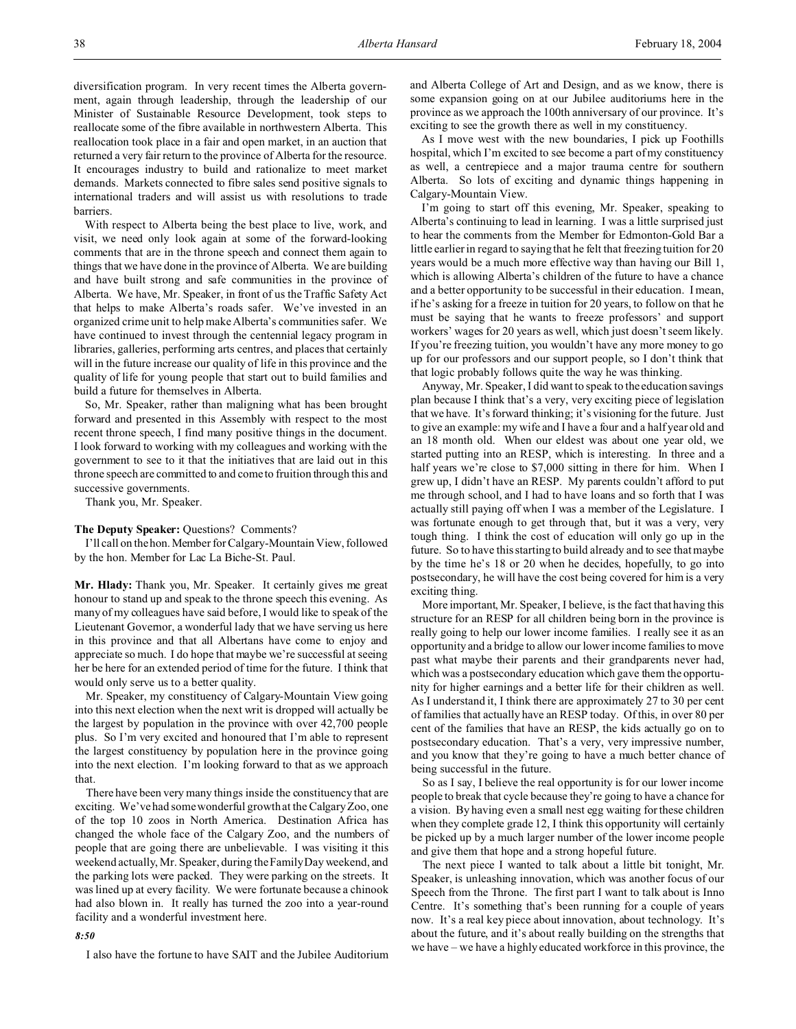diversification program. In very recent times the Alberta government, again through leadership, through the leadership of our Minister of Sustainable Resource Development, took steps to reallocate some of the fibre available in northwestern Alberta. This reallocation took place in a fair and open market, in an auction that returned a very fair return to the province of Alberta for the resource. It encourages industry to build and rationalize to meet market demands. Markets connected to fibre sales send positive signals to international traders and will assist us with resolutions to trade barriers.

With respect to Alberta being the best place to live, work, and visit, we need only look again at some of the forward-looking comments that are in the throne speech and connect them again to things that we have done in the province of Alberta. We are building and have built strong and safe communities in the province of Alberta. We have, Mr. Speaker, in front of us the Traffic Safety Act that helps to make Alberta's roads safer. We've invested in an organized crime unit to help make Alberta's communities safer. We have continued to invest through the centennial legacy program in libraries, galleries, performing arts centres, and places that certainly will in the future increase our quality of life in this province and the quality of life for young people that start out to build families and build a future for themselves in Alberta.

So, Mr. Speaker, rather than maligning what has been brought forward and presented in this Assembly with respect to the most recent throne speech, I find many positive things in the document. I look forward to working with my colleagues and working with the government to see to it that the initiatives that are laid out in this throne speech are committed to and come to fruition through this and successive governments.

Thank you, Mr. Speaker.

#### **The Deputy Speaker:** Questions? Comments?

I'll call on the hon. Member for Calgary-Mountain View, followed by the hon. Member for Lac La Biche-St. Paul.

**Mr. Hlady:** Thank you, Mr. Speaker. It certainly gives me great honour to stand up and speak to the throne speech this evening. As many of my colleagues have said before, I would like to speak of the Lieutenant Governor, a wonderful lady that we have serving us here in this province and that all Albertans have come to enjoy and appreciate so much. I do hope that maybe we're successful at seeing her be here for an extended period of time for the future. I think that would only serve us to a better quality.

Mr. Speaker, my constituency of Calgary-Mountain View going into this next election when the next writ is dropped will actually be the largest by population in the province with over 42,700 people plus. So I'm very excited and honoured that I'm able to represent the largest constituency by population here in the province going into the next election. I'm looking forward to that as we approach that.

There have been very many things inside the constituency that are exciting. We've had some wonderful growth at the Calgary Zoo, one of the top 10 zoos in North America. Destination Africa has changed the whole face of the Calgary Zoo, and the numbers of people that are going there are unbelievable. I was visiting it this weekend actually, Mr. Speaker, during the Family Day weekend, and the parking lots were packed. They were parking on the streets. It was lined up at every facility. We were fortunate because a chinook had also blown in. It really has turned the zoo into a year-round facility and a wonderful investment here.

## *8:50*

I also have the fortune to have SAIT and the Jubilee Auditorium

and Alberta College of Art and Design, and as we know, there is some expansion going on at our Jubilee auditoriums here in the province as we approach the 100th anniversary of our province. It's exciting to see the growth there as well in my constituency.

As I move west with the new boundaries, I pick up Foothills hospital, which I'm excited to see become a part of my constituency as well, a centrepiece and a major trauma centre for southern Alberta. So lots of exciting and dynamic things happening in Calgary-Mountain View.

I'm going to start off this evening, Mr. Speaker, speaking to Alberta's continuing to lead in learning. I was a little surprised just to hear the comments from the Member for Edmonton-Gold Bar a little earlier in regard to saying that he felt that freezing tuition for 20 years would be a much more effective way than having our Bill 1, which is allowing Alberta's children of the future to have a chance and a better opportunity to be successful in their education. I mean, if he's asking for a freeze in tuition for 20 years, to follow on that he must be saying that he wants to freeze professors' and support workers' wages for 20 years as well, which just doesn't seem likely. If you're freezing tuition, you wouldn't have any more money to go up for our professors and our support people, so I don't think that that logic probably follows quite the way he was thinking.

Anyway, Mr. Speaker, I did want to speak to the education savings plan because I think that's a very, very exciting piece of legislation that we have. It's forward thinking; it's visioning for the future. Just to give an example: my wife and I have a four and a half year old and an 18 month old. When our eldest was about one year old, we started putting into an RESP, which is interesting. In three and a half years we're close to \$7,000 sitting in there for him. When I grew up, I didn't have an RESP. My parents couldn't afford to put me through school, and I had to have loans and so forth that I was actually still paying off when I was a member of the Legislature. I was fortunate enough to get through that, but it was a very, very tough thing. I think the cost of education will only go up in the future. So to have this starting to build already and to see that maybe by the time he's 18 or 20 when he decides, hopefully, to go into postsecondary, he will have the cost being covered for him is a very exciting thing.

More important, Mr. Speaker, I believe, is the fact that having this structure for an RESP for all children being born in the province is really going to help our lower income families. I really see it as an opportunity and a bridge to allow our lower income families to move past what maybe their parents and their grandparents never had, which was a postsecondary education which gave them the opportunity for higher earnings and a better life for their children as well. As I understand it, I think there are approximately 27 to 30 per cent of families that actually have an RESP today. Of this, in over 80 per cent of the families that have an RESP, the kids actually go on to postsecondary education. That's a very, very impressive number, and you know that they're going to have a much better chance of being successful in the future.

So as I say, I believe the real opportunity is for our lower income people to break that cycle because they're going to have a chance for a vision. By having even a small nest egg waiting for these children when they complete grade 12, I think this opportunity will certainly be picked up by a much larger number of the lower income people and give them that hope and a strong hopeful future.

The next piece I wanted to talk about a little bit tonight, Mr. Speaker, is unleashing innovation, which was another focus of our Speech from the Throne. The first part I want to talk about is Inno Centre. It's something that's been running for a couple of years now. It's a real key piece about innovation, about technology. It's about the future, and it's about really building on the strengths that we have – we have a highly educated workforce in this province, the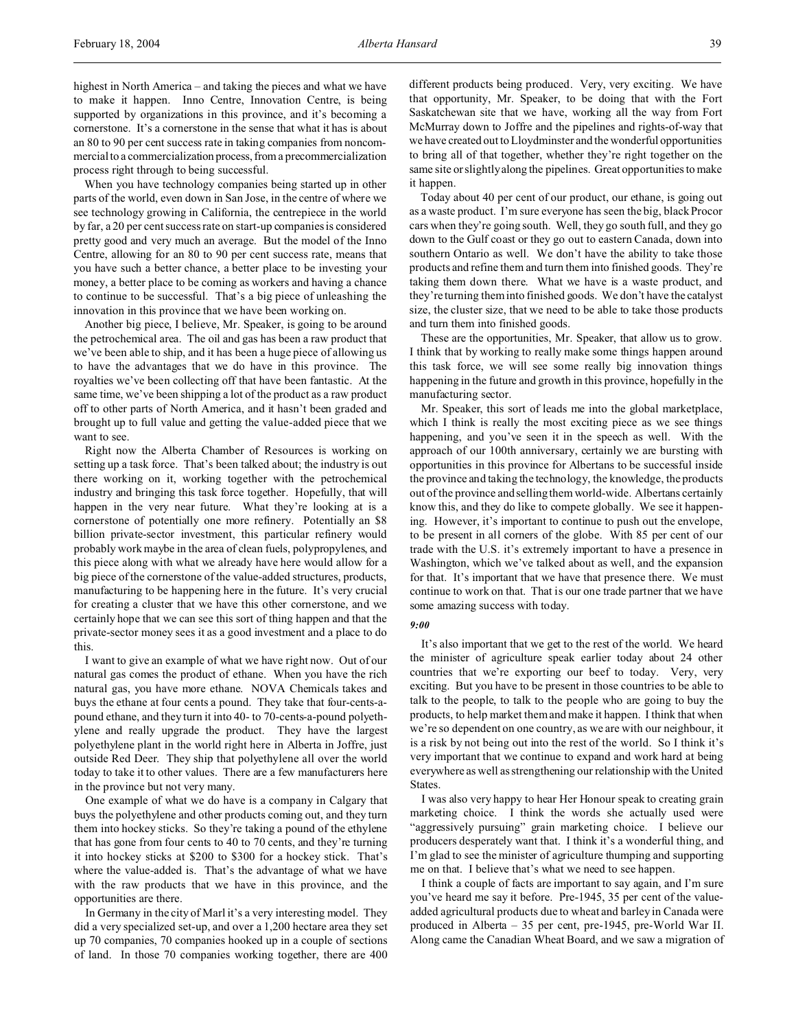highest in North America – and taking the pieces and what we have to make it happen. Inno Centre, Innovation Centre, is being supported by organizations in this province, and it's becoming a cornerstone. It's a cornerstone in the sense that what it has is about an 80 to 90 per cent success rate in taking companies from noncommercial to a commercialization process, from a precommercialization process right through to being successful.

When you have technology companies being started up in other parts of the world, even down in San Jose, in the centre of where we see technology growing in California, the centrepiece in the world by far, a 20 per cent success rate on start-up companies is considered pretty good and very much an average. But the model of the Inno Centre, allowing for an 80 to 90 per cent success rate, means that you have such a better chance, a better place to be investing your money, a better place to be coming as workers and having a chance to continue to be successful. That's a big piece of unleashing the innovation in this province that we have been working on.

Another big piece, I believe, Mr. Speaker, is going to be around the petrochemical area. The oil and gas has been a raw product that we've been able to ship, and it has been a huge piece of allowing us to have the advantages that we do have in this province. The royalties we've been collecting off that have been fantastic. At the same time, we've been shipping a lot of the product as a raw product off to other parts of North America, and it hasn't been graded and brought up to full value and getting the value-added piece that we want to see.

Right now the Alberta Chamber of Resources is working on setting up a task force. That's been talked about; the industry is out there working on it, working together with the petrochemical industry and bringing this task force together. Hopefully, that will happen in the very near future. What they're looking at is a cornerstone of potentially one more refinery. Potentially an \$8 billion private-sector investment, this particular refinery would probably work maybe in the area of clean fuels, polypropylenes, and this piece along with what we already have here would allow for a big piece of the cornerstone of the value-added structures, products, manufacturing to be happening here in the future. It's very crucial for creating a cluster that we have this other cornerstone, and we certainly hope that we can see this sort of thing happen and that the private-sector money sees it as a good investment and a place to do this.

I want to give an example of what we have right now. Out of our natural gas comes the product of ethane. When you have the rich natural gas, you have more ethane. NOVA Chemicals takes and buys the ethane at four cents a pound. They take that four-cents-apound ethane, and they turn it into 40- to 70-cents-a-pound polyethylene and really upgrade the product. They have the largest polyethylene plant in the world right here in Alberta in Joffre, just outside Red Deer. They ship that polyethylene all over the world today to take it to other values. There are a few manufacturers here in the province but not very many.

One example of what we do have is a company in Calgary that buys the polyethylene and other products coming out, and they turn them into hockey sticks. So they're taking a pound of the ethylene that has gone from four cents to 40 to 70 cents, and they're turning it into hockey sticks at \$200 to \$300 for a hockey stick. That's where the value-added is. That's the advantage of what we have with the raw products that we have in this province, and the opportunities are there.

In Germany in the city of Marl it's a very interesting model. They did a very specialized set-up, and over a 1,200 hectare area they set up 70 companies, 70 companies hooked up in a couple of sections of land. In those 70 companies working together, there are 400 different products being produced. Very, very exciting. We have that opportunity, Mr. Speaker, to be doing that with the Fort Saskatchewan site that we have, working all the way from Fort McMurray down to Joffre and the pipelines and rights-of-way that we have created out to Lloydminster and the wonderful opportunities to bring all of that together, whether they're right together on the same site or slightly along the pipelines. Great opportunities to make it happen.

Today about 40 per cent of our product, our ethane, is going out as a waste product. I'm sure everyone has seen the big, black Procor cars when they're going south. Well, they go south full, and they go down to the Gulf coast or they go out to eastern Canada, down into southern Ontario as well. We don't have the ability to take those products and refine them and turn them into finished goods. They're taking them down there. What we have is a waste product, and they're turning them into finished goods. We don't have the catalyst size, the cluster size, that we need to be able to take those products and turn them into finished goods.

These are the opportunities, Mr. Speaker, that allow us to grow. I think that by working to really make some things happen around this task force, we will see some really big innovation things happening in the future and growth in this province, hopefully in the manufacturing sector.

Mr. Speaker, this sort of leads me into the global marketplace, which I think is really the most exciting piece as we see things happening, and you've seen it in the speech as well. With the approach of our 100th anniversary, certainly we are bursting with opportunities in this province for Albertans to be successful inside the province and taking the technology, the knowledge, the products out of the province and selling them world-wide. Albertans certainly know this, and they do like to compete globally. We see it happening. However, it's important to continue to push out the envelope, to be present in all corners of the globe. With 85 per cent of our trade with the U.S. it's extremely important to have a presence in Washington, which we've talked about as well, and the expansion for that. It's important that we have that presence there. We must continue to work on that. That is our one trade partner that we have some amazing success with today.

### *9:00*

It's also important that we get to the rest of the world. We heard the minister of agriculture speak earlier today about 24 other countries that we're exporting our beef to today. Very, very exciting. But you have to be present in those countries to be able to talk to the people, to talk to the people who are going to buy the products, to help market them and make it happen. I think that when we're so dependent on one country, as we are with our neighbour, it is a risk by not being out into the rest of the world. So I think it's very important that we continue to expand and work hard at being everywhere as well as strengthening our relationship with the United States.

I was also very happy to hear Her Honour speak to creating grain marketing choice. I think the words she actually used were "aggressively pursuing" grain marketing choice. I believe our producers desperately want that. I think it's a wonderful thing, and I'm glad to see the minister of agriculture thumping and supporting me on that. I believe that's what we need to see happen.

I think a couple of facts are important to say again, and I'm sure you've heard me say it before. Pre-1945, 35 per cent of the valueadded agricultural products due to wheat and barley in Canada were produced in Alberta – 35 per cent, pre-1945, pre-World War II. Along came the Canadian Wheat Board, and we saw a migration of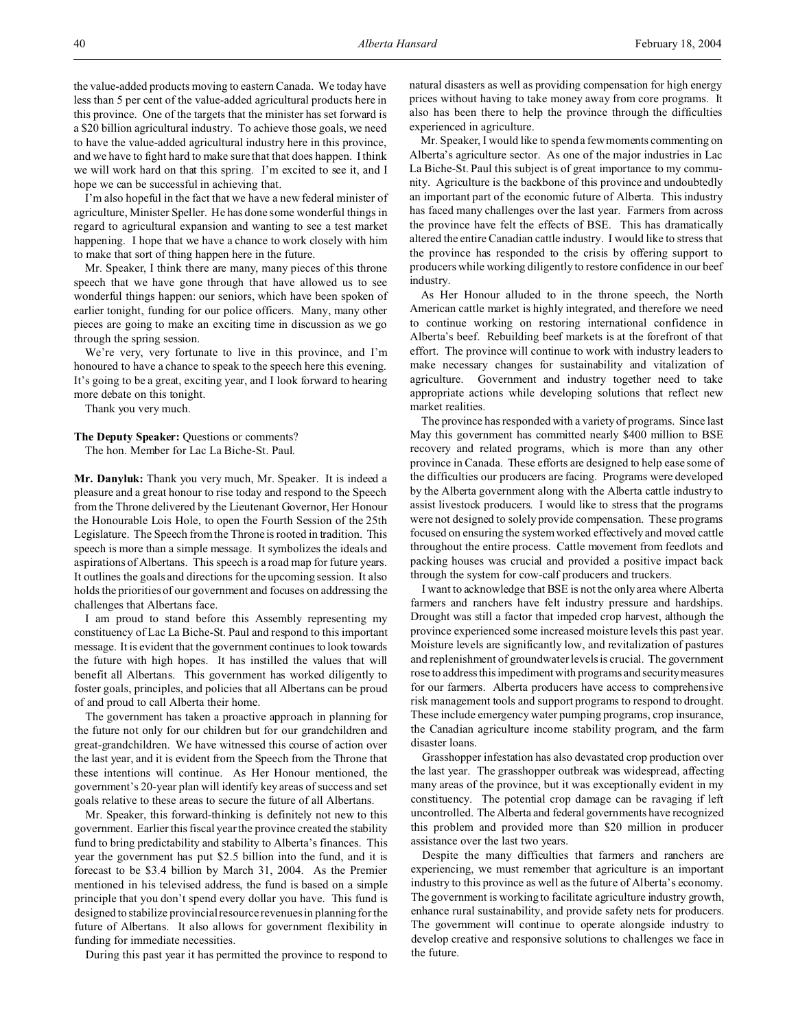the value-added products moving to eastern Canada. We today have less than 5 per cent of the value-added agricultural products here in this province. One of the targets that the minister has set forward is a \$20 billion agricultural industry. To achieve those goals, we need to have the value-added agricultural industry here in this province, and we have to fight hard to make sure that that does happen. I think we will work hard on that this spring. I'm excited to see it, and I hope we can be successful in achieving that.

I'm also hopeful in the fact that we have a new federal minister of agriculture, Minister Speller. He has done some wonderful things in regard to agricultural expansion and wanting to see a test market happening. I hope that we have a chance to work closely with him to make that sort of thing happen here in the future.

Mr. Speaker, I think there are many, many pieces of this throne speech that we have gone through that have allowed us to see wonderful things happen: our seniors, which have been spoken of earlier tonight, funding for our police officers. Many, many other pieces are going to make an exciting time in discussion as we go through the spring session.

We're very, very fortunate to live in this province, and I'm honoured to have a chance to speak to the speech here this evening. It's going to be a great, exciting year, and I look forward to hearing more debate on this tonight.

Thank you very much.

# The Deputy Speaker: Questions or comments?

The hon. Member for Lac La Biche-St. Paul.

**Mr. Danyluk:** Thank you very much, Mr. Speaker. It is indeed a pleasure and a great honour to rise today and respond to the Speech from the Throne delivered by the Lieutenant Governor, Her Honour the Honourable Lois Hole, to open the Fourth Session of the 25th Legislature. The Speech from the Throne is rooted in tradition. This speech is more than a simple message. It symbolizes the ideals and aspirations of Albertans. This speech is a road map for future years. It outlines the goals and directions for the upcoming session. It also holds the priorities of our government and focuses on addressing the challenges that Albertans face.

I am proud to stand before this Assembly representing my constituency of Lac La Biche-St. Paul and respond to this important message. It is evident that the government continues to look towards the future with high hopes. It has instilled the values that will benefit all Albertans. This government has worked diligently to foster goals, principles, and policies that all Albertans can be proud of and proud to call Alberta their home.

The government has taken a proactive approach in planning for the future not only for our children but for our grandchildren and great-grandchildren. We have witnessed this course of action over the last year, and it is evident from the Speech from the Throne that these intentions will continue. As Her Honour mentioned, the government's 20-year plan will identify key areas of success and set goals relative to these areas to secure the future of all Albertans.

Mr. Speaker, this forward-thinking is definitely not new to this government. Earlier this fiscal year the province created the stability fund to bring predictability and stability to Alberta's finances. This year the government has put \$2.5 billion into the fund, and it is forecast to be \$3.4 billion by March 31, 2004. As the Premier mentioned in his televised address, the fund is based on a simple principle that you don't spend every dollar you have. This fund is designed to stabilize provincial resource revenues in planning for the future of Albertans. It also allows for government flexibility in funding for immediate necessities.

During this past year it has permitted the province to respond to

natural disasters as well as providing compensation for high energy prices without having to take money away from core programs. It also has been there to help the province through the difficulties experienced in agriculture.

Mr. Speaker, I would like to spend a few moments commenting on Alberta's agriculture sector. As one of the major industries in Lac La Biche-St. Paul this subject is of great importance to my community. Agriculture is the backbone of this province and undoubtedly an important part of the economic future of Alberta. This industry has faced many challenges over the last year. Farmers from across the province have felt the effects of BSE. This has dramatically altered the entire Canadian cattle industry. I would like to stress that the province has responded to the crisis by offering support to producers while working diligently to restore confidence in our beef industry.

As Her Honour alluded to in the throne speech, the North American cattle market is highly integrated, and therefore we need to continue working on restoring international confidence in Alberta's beef. Rebuilding beef markets is at the forefront of that effort. The province will continue to work with industry leaders to make necessary changes for sustainability and vitalization of agriculture. Government and industry together need to take appropriate actions while developing solutions that reflect new market realities.

The province has responded with a variety of programs. Since last May this government has committed nearly \$400 million to BSE recovery and related programs, which is more than any other province in Canada. These efforts are designed to help ease some of the difficulties our producers are facing. Programs were developed by the Alberta government along with the Alberta cattle industry to assist livestock producers. I would like to stress that the programs were not designed to solely provide compensation. These programs focused on ensuring the system worked effectively and moved cattle throughout the entire process. Cattle movement from feedlots and packing houses was crucial and provided a positive impact back through the system for cow-calf producers and truckers.

I want to acknowledge that BSE is not the only area where Alberta farmers and ranchers have felt industry pressure and hardships. Drought was still a factor that impeded crop harvest, although the province experienced some increased moisture levels this past year. Moisture levels are significantly low, and revitalization of pastures and replenishment of groundwater levels is crucial. The government rose to address this impediment with programs and security measures for our farmers. Alberta producers have access to comprehensive risk management tools and support programs to respond to drought. These include emergency water pumping programs, crop insurance, the Canadian agriculture income stability program, and the farm disaster loans.

Grasshopper infestation has also devastated crop production over the last year. The grasshopper outbreak was widespread, affecting many areas of the province, but it was exceptionally evident in my constituency. The potential crop damage can be ravaging if left uncontrolled. The Alberta and federal governments have recognized this problem and provided more than \$20 million in producer assistance over the last two years.

Despite the many difficulties that farmers and ranchers are experiencing, we must remember that agriculture is an important industry to this province as well as the future of Alberta's economy. The government is working to facilitate agriculture industry growth, enhance rural sustainability, and provide safety nets for producers. The government will continue to operate alongside industry to develop creative and responsive solutions to challenges we face in the future.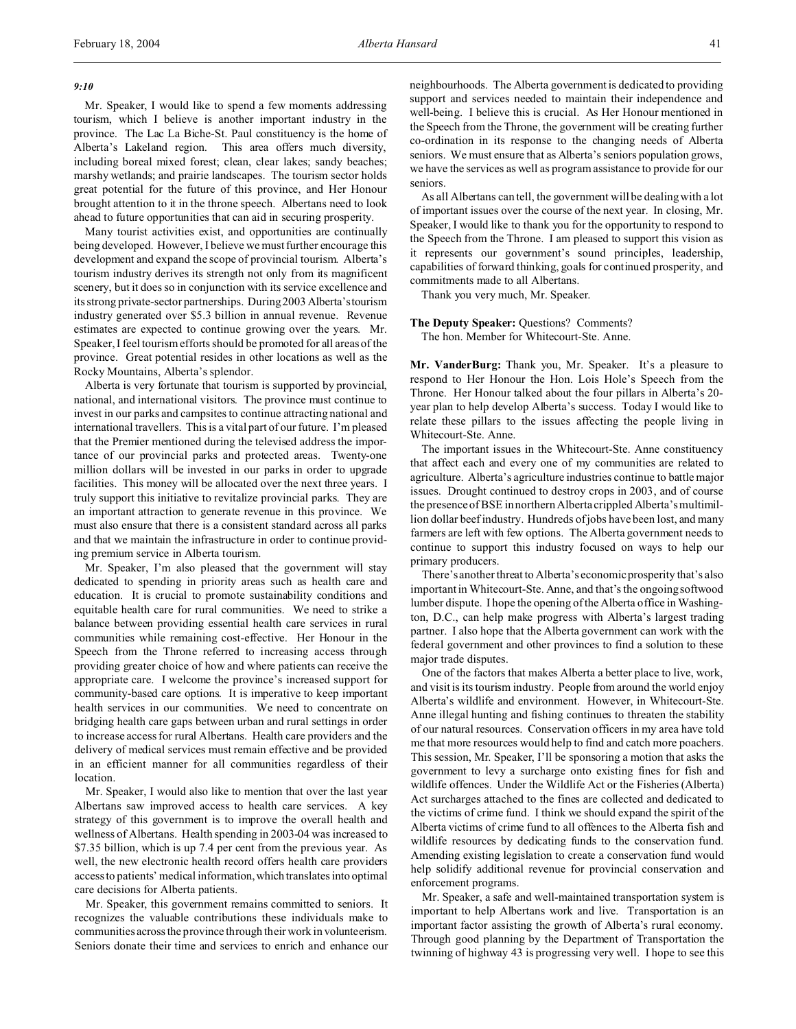## *9:10*

Mr. Speaker, I would like to spend a few moments addressing tourism, which I believe is another important industry in the province. The Lac La Biche-St. Paul constituency is the home of Alberta's Lakeland region. This area offers much diversity, including boreal mixed forest; clean, clear lakes; sandy beaches; marshy wetlands; and prairie landscapes. The tourism sector holds great potential for the future of this province, and Her Honour brought attention to it in the throne speech. Albertans need to look ahead to future opportunities that can aid in securing prosperity.

Many tourist activities exist, and opportunities are continually being developed. However, I believe we must further encourage this development and expand the scope of provincial tourism. Alberta's tourism industry derives its strength not only from its magnificent scenery, but it does so in conjunction with its service excellence and its strong private-sector partnerships. During 2003 Alberta'stourism industry generated over \$5.3 billion in annual revenue. Revenue estimates are expected to continue growing over the years. Mr. Speaker, I feel tourism efforts should be promoted for all areas of the province. Great potential resides in other locations as well as the Rocky Mountains, Alberta's splendor.

Alberta is very fortunate that tourism is supported by provincial, national, and international visitors. The province must continue to invest in our parks and campsites to continue attracting national and international travellers. This is a vital part of our future. I'm pleased that the Premier mentioned during the televised address the importance of our provincial parks and protected areas. Twenty-one million dollars will be invested in our parks in order to upgrade facilities. This money will be allocated over the next three years. I truly support this initiative to revitalize provincial parks. They are an important attraction to generate revenue in this province. We must also ensure that there is a consistent standard across all parks and that we maintain the infrastructure in order to continue providing premium service in Alberta tourism.

Mr. Speaker, I'm also pleased that the government will stay dedicated to spending in priority areas such as health care and education. It is crucial to promote sustainability conditions and equitable health care for rural communities. We need to strike a balance between providing essential health care services in rural communities while remaining cost-effective. Her Honour in the Speech from the Throne referred to increasing access through providing greater choice of how and where patients can receive the appropriate care. I welcome the province's increased support for community-based care options. It is imperative to keep important health services in our communities. We need to concentrate on bridging health care gaps between urban and rural settings in order to increase access for rural Albertans. Health care providers and the delivery of medical services must remain effective and be provided in an efficient manner for all communities regardless of their location.

Mr. Speaker, I would also like to mention that over the last year Albertans saw improved access to health care services. A key strategy of this government is to improve the overall health and wellness of Albertans. Health spending in 2003-04 was increased to \$7.35 billion, which is up 7.4 per cent from the previous year. As well, the new electronic health record offers health care providers access to patients' medical information,which translates into optimal care decisions for Alberta patients.

Mr. Speaker, this government remains committed to seniors. It recognizes the valuable contributions these individuals make to communities across the province through their work in volunteerism. Seniors donate their time and services to enrich and enhance our

neighbourhoods. The Alberta government is dedicated to providing support and services needed to maintain their independence and well-being. I believe this is crucial. As Her Honour mentioned in the Speech from the Throne, the government will be creating further co-ordination in its response to the changing needs of Alberta seniors. We must ensure that as Alberta's seniors population grows, we have the services as well as program assistance to provide for our seniors.

As all Albertans can tell, the government will be dealing with a lot of important issues over the course of the next year. In closing, Mr. Speaker, I would like to thank you for the opportunity to respond to the Speech from the Throne. I am pleased to support this vision as it represents our government's sound principles, leadership, capabilities of forward thinking, goals for continued prosperity, and commitments made to all Albertans.

Thank you very much, Mr. Speaker.

**The Deputy Speaker:** Questions? Comments?

The hon. Member for Whitecourt-Ste. Anne.

**Mr. VanderBurg:** Thank you, Mr. Speaker. It's a pleasure to respond to Her Honour the Hon. Lois Hole's Speech from the Throne. Her Honour talked about the four pillars in Alberta's 20 year plan to help develop Alberta's success. Today I would like to relate these pillars to the issues affecting the people living in Whitecourt-Ste. Anne.

The important issues in the Whitecourt-Ste. Anne constituency that affect each and every one of my communities are related to agriculture. Alberta's agriculture industries continue to battle major issues. Drought continued to destroy crops in 2003, and of course the presence of BSE in northern Alberta crippled Alberta's multimillion dollar beef industry. Hundreds of jobs have been lost, and many farmers are left with few options. The Alberta government needs to continue to support this industry focused on ways to help our primary producers.

There's another threat to Alberta's economic prosperity that's also important in Whitecourt-Ste. Anne, and that's the ongoing softwood lumber dispute. I hope the opening of the Alberta office in Washington, D.C., can help make progress with Alberta's largest trading partner. I also hope that the Alberta government can work with the federal government and other provinces to find a solution to these major trade disputes.

One of the factors that makes Alberta a better place to live, work, and visit is its tourism industry. People from around the world enjoy Alberta's wildlife and environment. However, in Whitecourt-Ste. Anne illegal hunting and fishing continues to threaten the stability of our natural resources. Conservation officers in my area have told me that more resources would help to find and catch more poachers. This session, Mr. Speaker, I'll be sponsoring a motion that asks the government to levy a surcharge onto existing fines for fish and wildlife offences. Under the Wildlife Act or the Fisheries (Alberta) Act surcharges attached to the fines are collected and dedicated to the victims of crime fund. I think we should expand the spirit of the Alberta victims of crime fund to all offences to the Alberta fish and wildlife resources by dedicating funds to the conservation fund. Amending existing legislation to create a conservation fund would help solidify additional revenue for provincial conservation and enforcement programs.

Mr. Speaker, a safe and well-maintained transportation system is important to help Albertans work and live. Transportation is an important factor assisting the growth of Alberta's rural economy. Through good planning by the Department of Transportation the twinning of highway 43 is progressing very well. I hope to see this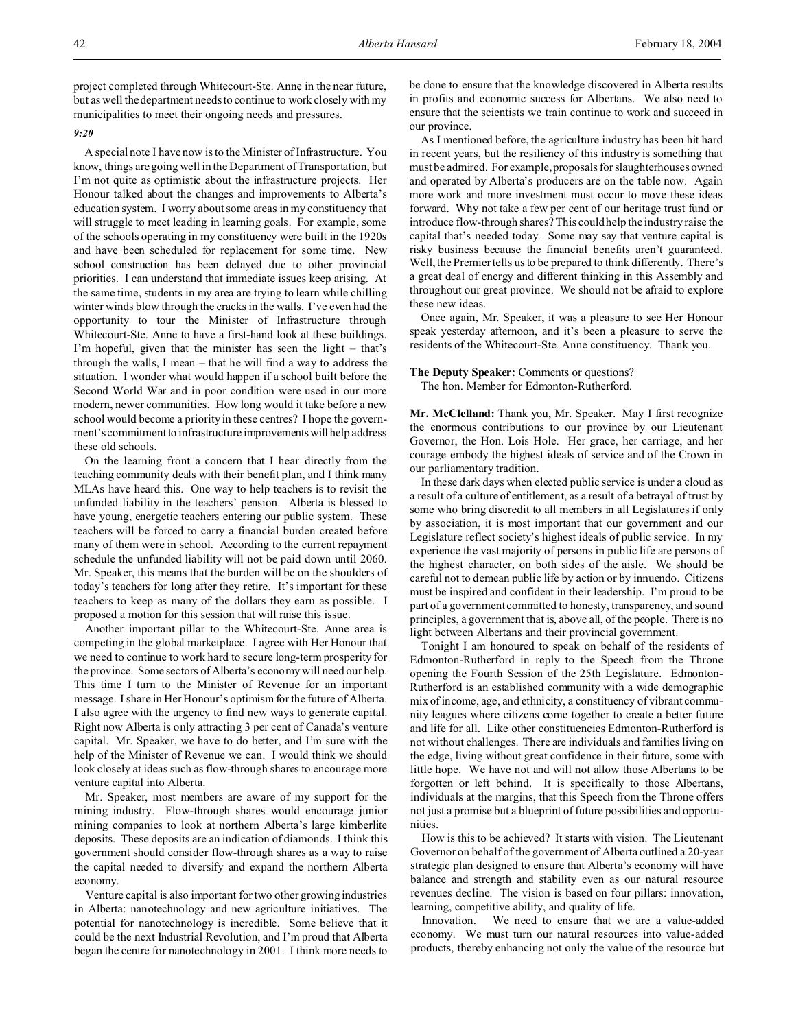project completed through Whitecourt-Ste. Anne in the near future, but as well the department needs to continue to work closely with my municipalities to meet their ongoing needs and pressures.

### *9:20*

A special note I have now is to the Minister of Infrastructure. You know, things are going well in the Department of Transportation, but I'm not quite as optimistic about the infrastructure projects. Her Honour talked about the changes and improvements to Alberta's education system. I worry about some areas in my constituency that will struggle to meet leading in learning goals. For example, some of the schools operating in my constituency were built in the 1920s and have been scheduled for replacement for some time. New school construction has been delayed due to other provincial priorities. I can understand that immediate issues keep arising. At the same time, students in my area are trying to learn while chilling winter winds blow through the cracks in the walls. I've even had the opportunity to tour the Minister of Infrastructure through Whitecourt-Ste. Anne to have a first-hand look at these buildings. I'm hopeful, given that the minister has seen the light – that's through the walls, I mean – that he will find a way to address the situation. I wonder what would happen if a school built before the Second World War and in poor condition were used in our more modern, newer communities. How long would it take before a new school would become a priority in these centres? I hope the government's commitment to infrastructure improvementswill help address these old schools.

On the learning front a concern that I hear directly from the teaching community deals with their benefit plan, and I think many MLAs have heard this. One way to help teachers is to revisit the unfunded liability in the teachers' pension. Alberta is blessed to have young, energetic teachers entering our public system. These teachers will be forced to carry a financial burden created before many of them were in school. According to the current repayment schedule the unfunded liability will not be paid down until 2060. Mr. Speaker, this means that the burden will be on the shoulders of today's teachers for long after they retire. It's important for these teachers to keep as many of the dollars they earn as possible. I proposed a motion for this session that will raise this issue.

Another important pillar to the Whitecourt-Ste. Anne area is competing in the global marketplace. I agree with Her Honour that we need to continue to work hard to secure long-term prosperity for the province. Some sectors of Alberta's economy will need our help. This time I turn to the Minister of Revenue for an important message. I share in Her Honour's optimism for the future of Alberta. I also agree with the urgency to find new ways to generate capital. Right now Alberta is only attracting 3 per cent of Canada's venture capital. Mr. Speaker, we have to do better, and I'm sure with the help of the Minister of Revenue we can. I would think we should look closely at ideas such as flow-through shares to encourage more venture capital into Alberta.

Mr. Speaker, most members are aware of my support for the mining industry. Flow-through shares would encourage junior mining companies to look at northern Alberta's large kimberlite deposits. These deposits are an indication of diamonds. I think this government should consider flow-through shares as a way to raise the capital needed to diversify and expand the northern Alberta economy.

Venture capital is also important for two other growing industries in Alberta: nanotechnology and new agriculture initiatives. The potential for nanotechnology is incredible. Some believe that it could be the next Industrial Revolution, and I'm proud that Alberta began the centre for nanotechnology in 2001. I think more needs to

be done to ensure that the knowledge discovered in Alberta results in profits and economic success for Albertans. We also need to ensure that the scientists we train continue to work and succeed in our province.

As I mentioned before, the agriculture industry has been hit hard in recent years, but the resiliency of this industry is something that must be admired. For example, proposals for slaughterhouses owned and operated by Alberta's producers are on the table now. Again more work and more investment must occur to move these ideas forward. Why not take a few per cent of our heritage trust fund or introduce flow-through shares? This could help the industry raise the capital that's needed today. Some may say that venture capital is risky business because the financial benefits aren't guaranteed. Well, the Premier tells us to be prepared to think differently. There's a great deal of energy and different thinking in this Assembly and throughout our great province. We should not be afraid to explore these new ideas.

Once again, Mr. Speaker, it was a pleasure to see Her Honour speak yesterday afternoon, and it's been a pleasure to serve the residents of the Whitecourt-Ste. Anne constituency. Thank you.

## **The Deputy Speaker:** Comments or questions?

The hon. Member for Edmonton-Rutherford.

**Mr. McClelland:** Thank you, Mr. Speaker. May I first recognize the enormous contributions to our province by our Lieutenant Governor, the Hon. Lois Hole. Her grace, her carriage, and her courage embody the highest ideals of service and of the Crown in our parliamentary tradition.

In these dark days when elected public service is under a cloud as a result of a culture of entitlement, as a result of a betrayal of trust by some who bring discredit to all members in all Legislatures if only by association, it is most important that our government and our Legislature reflect society's highest ideals of public service. In my experience the vast majority of persons in public life are persons of the highest character, on both sides of the aisle. We should be careful not to demean public life by action or by innuendo. Citizens must be inspired and confident in their leadership. I'm proud to be part of a government committed to honesty, transparency, and sound principles, a government that is, above all, of the people. There is no light between Albertans and their provincial government.

Tonight I am honoured to speak on behalf of the residents of Edmonton-Rutherford in reply to the Speech from the Throne opening the Fourth Session of the 25th Legislature. Edmonton-Rutherford is an established community with a wide demographic mix of income, age, and ethnicity, a constituency of vibrant community leagues where citizens come together to create a better future and life for all. Like other constituencies Edmonton-Rutherford is not without challenges. There are individuals and families living on the edge, living without great confidence in their future, some with little hope. We have not and will not allow those Albertans to be forgotten or left behind. It is specifically to those Albertans, individuals at the margins, that this Speech from the Throne offers not just a promise but a blueprint of future possibilities and opportunities.

How is this to be achieved? It starts with vision. The Lieutenant Governor on behalf of the government of Alberta outlined a 20-year strategic plan designed to ensure that Alberta's economy will have balance and strength and stability even as our natural resource revenues decline. The vision is based on four pillars: innovation, learning, competitive ability, and quality of life.

Innovation. We need to ensure that we are a value-added economy. We must turn our natural resources into value-added products, thereby enhancing not only the value of the resource but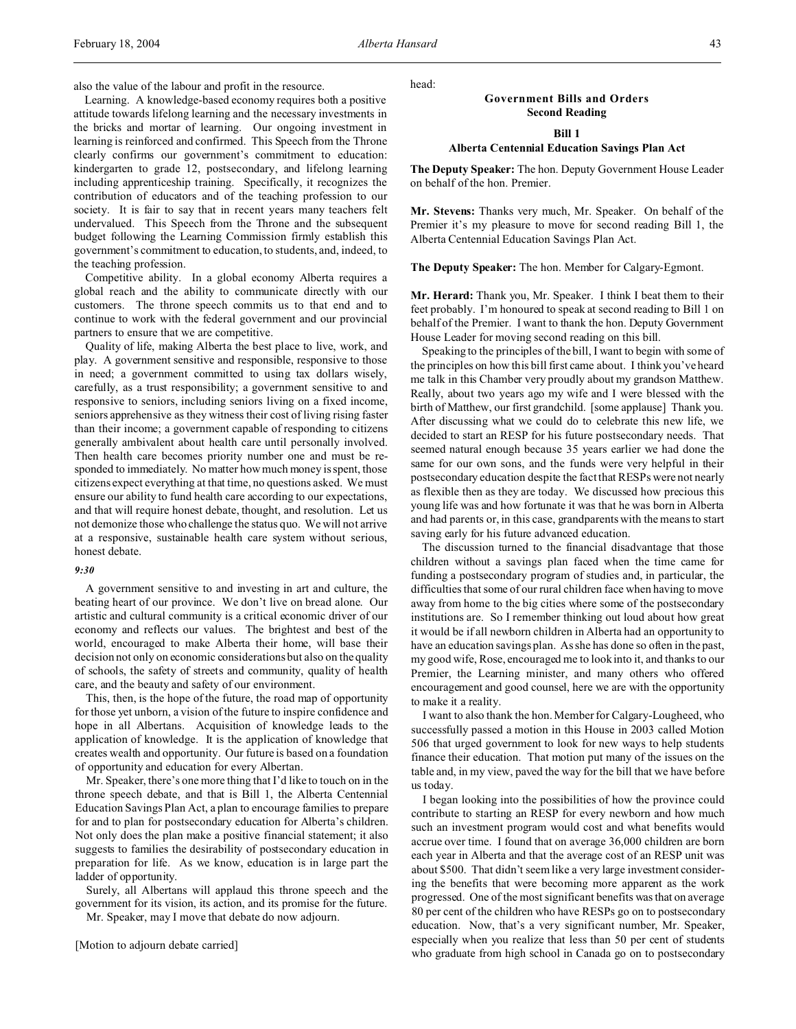also the value of the labour and profit in the resource.

Learning. A knowledge-based economy requires both a positive attitude towards lifelong learning and the necessary investments in the bricks and mortar of learning. Our ongoing investment in learning is reinforced and confirmed. This Speech from the Throne clearly confirms our government's commitment to education: kindergarten to grade 12, postsecondary, and lifelong learning including apprenticeship training. Specifically, it recognizes the contribution of educators and of the teaching profession to our society. It is fair to say that in recent years many teachers felt undervalued. This Speech from the Throne and the subsequent budget following the Learning Commission firmly establish this government's commitment to education, to students, and, indeed, to the teaching profession.

Competitive ability. In a global economy Alberta requires a global reach and the ability to communicate directly with our customers. The throne speech commits us to that end and to continue to work with the federal government and our provincial partners to ensure that we are competitive.

Quality of life, making Alberta the best place to live, work, and play. A government sensitive and responsible, responsive to those in need; a government committed to using tax dollars wisely, carefully, as a trust responsibility; a government sensitive to and responsive to seniors, including seniors living on a fixed income, seniors apprehensive as they witness their cost of living rising faster than their income; a government capable of responding to citizens generally ambivalent about health care until personally involved. Then health care becomes priority number one and must be responded to immediately. No matter how much money is spent, those citizens expect everything at that time, no questions asked. We must ensure our ability to fund health care according to our expectations, and that will require honest debate, thought, and resolution. Let us not demonize those who challenge the status quo. We will not arrive at a responsive, sustainable health care system without serious, honest debate.

## *9:30*

A government sensitive to and investing in art and culture, the beating heart of our province. We don't live on bread alone. Our artistic and cultural community is a critical economic driver of our economy and reflects our values. The brightest and best of the world, encouraged to make Alberta their home, will base their decision not only on economic considerations but also on the quality of schools, the safety of streets and community, quality of health care, and the beauty and safety of our environment.

This, then, is the hope of the future, the road map of opportunity for those yet unborn, a vision of the future to inspire confidence and hope in all Albertans. Acquisition of knowledge leads to the application of knowledge. It is the application of knowledge that creates wealth and opportunity. Our future is based on a foundation of opportunity and education for every Albertan.

Mr. Speaker, there's one more thing that I'd like to touch on in the throne speech debate, and that is Bill 1, the Alberta Centennial Education Savings Plan Act, a plan to encourage families to prepare for and to plan for postsecondary education for Alberta's children. Not only does the plan make a positive financial statement; it also suggests to families the desirability of postsecondary education in preparation for life. As we know, education is in large part the ladder of opportunity.

Surely, all Albertans will applaud this throne speech and the government for its vision, its action, and its promise for the future.

Mr. Speaker, may I move that debate do now adjourn.

head:

## **Government Bills and Orders Second Reading**

**Bill 1**

### **Alberta Centennial Education Savings Plan Act**

**The Deputy Speaker:** The hon. Deputy Government House Leader on behalf of the hon. Premier.

**Mr. Stevens:** Thanks very much, Mr. Speaker. On behalf of the Premier it's my pleasure to move for second reading Bill 1, the Alberta Centennial Education Savings Plan Act.

**The Deputy Speaker:** The hon. Member for Calgary-Egmont.

**Mr. Herard:** Thank you, Mr. Speaker. I think I beat them to their feet probably. I'm honoured to speak at second reading to Bill 1 on behalf of the Premier. I want to thank the hon. Deputy Government House Leader for moving second reading on this bill.

Speaking to the principles of the bill, I want to begin with some of the principles on how this bill first came about. I think you've heard me talk in this Chamber very proudly about my grandson Matthew. Really, about two years ago my wife and I were blessed with the birth of Matthew, our first grandchild. [some applause] Thank you. After discussing what we could do to celebrate this new life, we decided to start an RESP for his future postsecondary needs. That seemed natural enough because 35 years earlier we had done the same for our own sons, and the funds were very helpful in their postsecondary education despite the fact that RESPs were not nearly as flexible then as they are today. We discussed how precious this young life was and how fortunate it was that he was born in Alberta and had parents or, in this case, grandparents with the means to start saving early for his future advanced education.

The discussion turned to the financial disadvantage that those children without a savings plan faced when the time came for funding a postsecondary program of studies and, in particular, the difficulties that some of our rural children face when having to move away from home to the big cities where some of the postsecondary institutions are. So I remember thinking out loud about how great it would be if all newborn children in Alberta had an opportunity to have an education savings plan. As she has done so often in the past, my good wife, Rose, encouraged me to look into it, and thanks to our Premier, the Learning minister, and many others who offered encouragement and good counsel, here we are with the opportunity to make it a reality.

I want to also thank the hon. Member for Calgary-Lougheed, who successfully passed a motion in this House in 2003 called Motion 506 that urged government to look for new ways to help students finance their education. That motion put many of the issues on the table and, in my view, paved the way for the bill that we have before us today.

I began looking into the possibilities of how the province could contribute to starting an RESP for every newborn and how much such an investment program would cost and what benefits would accrue over time. I found that on average 36,000 children are born each year in Alberta and that the average cost of an RESP unit was about \$500. That didn't seem like a very large investment considering the benefits that were becoming more apparent as the work progressed. One of the most significant benefits was that on average 80 per cent of the children who have RESPs go on to postsecondary education. Now, that's a very significant number, Mr. Speaker, especially when you realize that less than 50 per cent of students who graduate from high school in Canada go on to postsecondary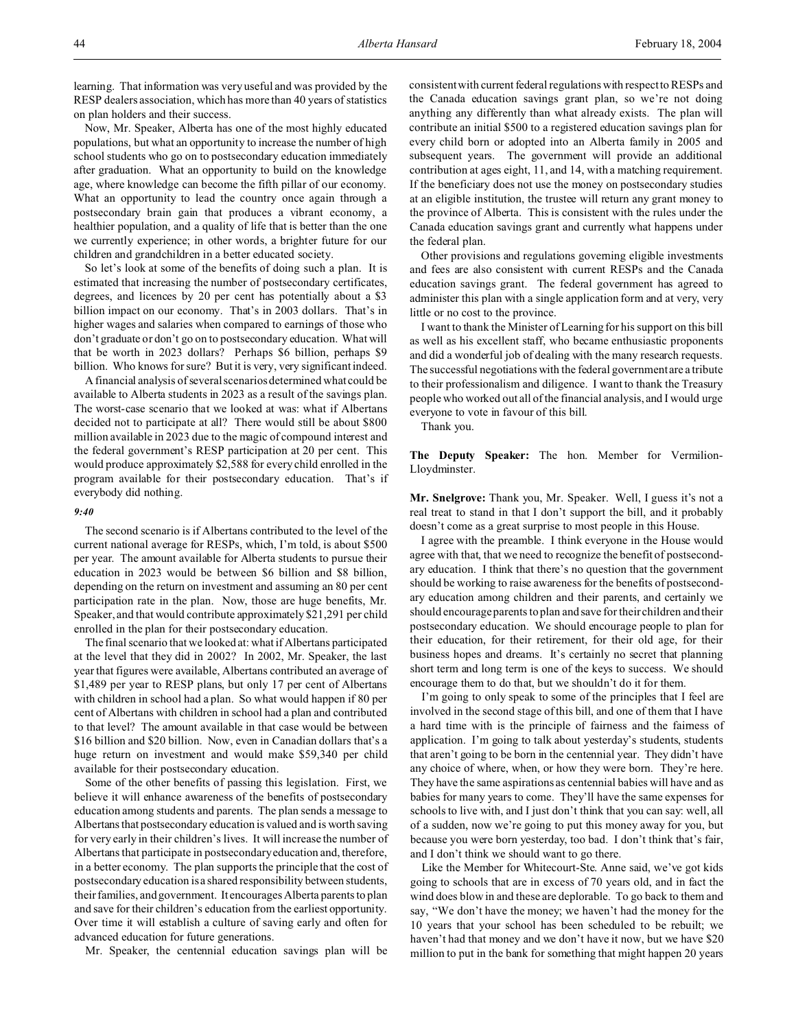learning. That information was very useful and was provided by the RESP dealers association, which has more than 40 years of statistics on plan holders and their success.

Now, Mr. Speaker, Alberta has one of the most highly educated populations, but what an opportunity to increase the number of high school students who go on to postsecondary education immediately after graduation. What an opportunity to build on the knowledge age, where knowledge can become the fifth pillar of our economy. What an opportunity to lead the country once again through a postsecondary brain gain that produces a vibrant economy, a healthier population, and a quality of life that is better than the one we currently experience; in other words, a brighter future for our children and grandchildren in a better educated society.

So let's look at some of the benefits of doing such a plan. It is estimated that increasing the number of postsecondary certificates, degrees, and licences by 20 per cent has potentially about a \$3 billion impact on our economy. That's in 2003 dollars. That's in higher wages and salaries when compared to earnings of those who don't graduate or don't go on to postsecondary education. What will that be worth in 2023 dollars? Perhaps \$6 billion, perhaps \$9 billion. Who knows for sure? But it is very, very significant indeed.

A financial analysis of several scenarios determined what could be available to Alberta students in 2023 as a result of the savings plan. The worst-case scenario that we looked at was: what if Albertans decided not to participate at all? There would still be about \$800 million available in 2023 due to the magic of compound interest and the federal government's RESP participation at 20 per cent. This would produce approximately \$2,588 for every child enrolled in the program available for their postsecondary education. That's if everybody did nothing.

## *9:40*

The second scenario is if Albertans contributed to the level of the current national average for RESPs, which, I'm told, is about \$500 per year. The amount available for Alberta students to pursue their education in 2023 would be between \$6 billion and \$8 billion, depending on the return on investment and assuming an 80 per cent participation rate in the plan. Now, those are huge benefits, Mr. Speaker, and that would contribute approximately \$21,291 per child enrolled in the plan for their postsecondary education.

The final scenario that we looked at: what if Albertans participated at the level that they did in 2002? In 2002, Mr. Speaker, the last year that figures were available, Albertans contributed an average of \$1,489 per year to RESP plans, but only 17 per cent of Albertans with children in school had a plan. So what would happen if 80 per cent of Albertans with children in school had a plan and contributed to that level? The amount available in that case would be between \$16 billion and \$20 billion. Now, even in Canadian dollars that's a huge return on investment and would make \$59,340 per child available for their postsecondary education.

Some of the other benefits of passing this legislation. First, we believe it will enhance awareness of the benefits of postsecondary education among students and parents. The plan sends a message to Albertans that postsecondary education is valued and is worth saving for very early in their children's lives. It will increase the number of Albertans that participate in postsecondary education and, therefore, in a better economy. The plan supports the principle that the cost of postsecondary education is a shared responsibility between students, their families, and government. It encourages Alberta parents to plan and save for their children's education from the earliest opportunity. Over time it will establish a culture of saving early and often for advanced education for future generations.

Mr. Speaker, the centennial education savings plan will be

consistent with current federal regulations with respect to RESPs and the Canada education savings grant plan, so we're not doing anything any differently than what already exists. The plan will contribute an initial \$500 to a registered education savings plan for every child born or adopted into an Alberta family in 2005 and subsequent years. The government will provide an additional contribution at ages eight, 11, and 14, with a matching requirement. If the beneficiary does not use the money on postsecondary studies at an eligible institution, the trustee will return any grant money to the province of Alberta. This is consistent with the rules under the Canada education savings grant and currently what happens under the federal plan.

Other provisions and regulations governing eligible investments and fees are also consistent with current RESPs and the Canada education savings grant. The federal government has agreed to administer this plan with a single application form and at very, very little or no cost to the province.

I want to thank the Minister of Learning for his support on this bill as well as his excellent staff, who became enthusiastic proponents and did a wonderful job of dealing with the many research requests. The successful negotiations with the federal government are a tribute to their professionalism and diligence. I want to thank the Treasury people who worked out all of the financial analysis, and I would urge everyone to vote in favour of this bill.

Thank you.

**The Deputy Speaker:** The hon. Member for Vermilion-Lloydminster.

**Mr. Snelgrove:** Thank you, Mr. Speaker. Well, I guess it's not a real treat to stand in that I don't support the bill, and it probably doesn't come as a great surprise to most people in this House.

I agree with the preamble. I think everyone in the House would agree with that, that we need to recognize the benefit of postsecondary education. I think that there's no question that the government should be working to raise awareness for the benefits of postsecondary education among children and their parents, and certainly we should encourage parents to plan and save for their children and their postsecondary education. We should encourage people to plan for their education, for their retirement, for their old age, for their business hopes and dreams. It's certainly no secret that planning short term and long term is one of the keys to success. We should encourage them to do that, but we shouldn't do it for them.

I'm going to only speak to some of the principles that I feel are involved in the second stage of this bill, and one of them that I have a hard time with is the principle of fairness and the fairness of application. I'm going to talk about yesterday's students, students that aren't going to be born in the centennial year. They didn't have any choice of where, when, or how they were born. They're here. They have the same aspirations as centennial babies will have and as babies for many years to come. They'll have the same expenses for schools to live with, and I just don't think that you can say: well, all of a sudden, now we're going to put this money away for you, but because you were born yesterday, too bad. I don't think that's fair, and I don't think we should want to go there.

Like the Member for Whitecourt-Ste. Anne said, we've got kids going to schools that are in excess of 70 years old, and in fact the wind does blow in and these are deplorable. To go back to them and say, "We don't have the money; we haven't had the money for the 10 years that your school has been scheduled to be rebuilt; we haven't had that money and we don't have it now, but we have \$20 million to put in the bank for something that might happen 20 years